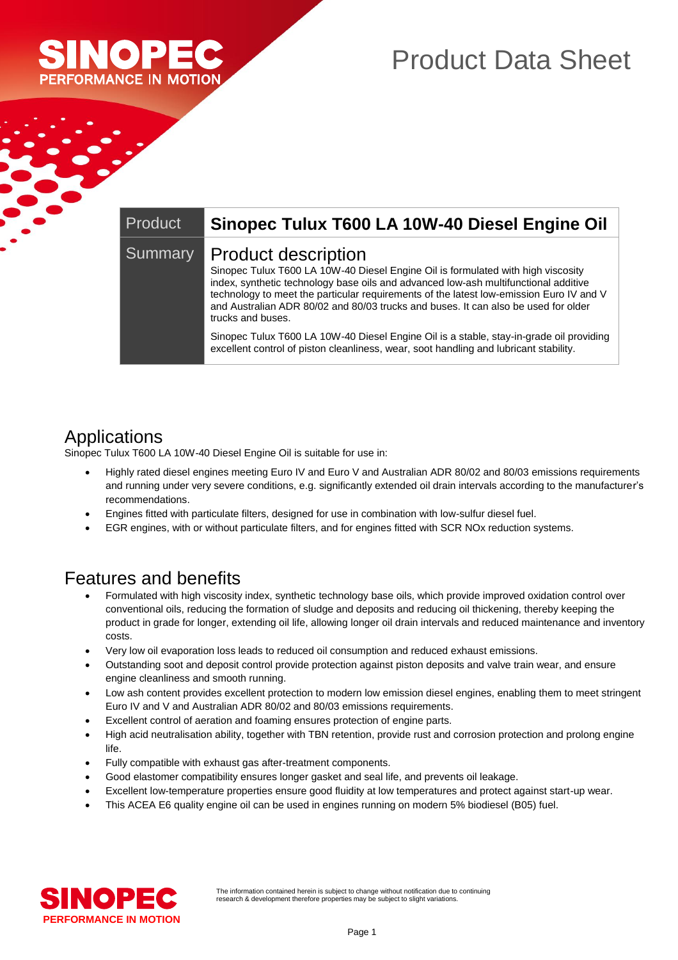

## Product Data Sheet

| Product | Sinopec Tulux T600 LA 10W-40 Diesel Engine Oil                                                                                                                                                                                                                                                                                                                                                       |
|---------|------------------------------------------------------------------------------------------------------------------------------------------------------------------------------------------------------------------------------------------------------------------------------------------------------------------------------------------------------------------------------------------------------|
| Summary | Product description<br>Sinopec Tulux T600 LA 10W-40 Diesel Engine Oil is formulated with high viscosity<br>index, synthetic technology base oils and advanced low-ash multifunctional additive<br>technology to meet the particular requirements of the latest low-emission Euro IV and V<br>and Australian ADR 80/02 and 80/03 trucks and buses. It can also be used for older<br>trucks and buses. |
|         | Sinopec Tulux T600 LA 10W-40 Diesel Engine Oil is a stable, stay-in-grade oil providing<br>excellent control of piston cleanliness, wear, soot handling and lubricant stability.                                                                                                                                                                                                                     |

### Applications

Sinopec Tulux T600 LA 10W-40 Diesel Engine Oil is suitable for use in:

- Highly rated diesel engines meeting Euro IV and Euro V and Australian ADR 80/02 and 80/03 emissions requirements and running under very severe conditions, e.g. significantly extended oil drain intervals according to the manufacturer's recommendations.
- Engines fitted with particulate filters, designed for use in combination with low-sulfur diesel fuel.
- EGR engines, with or without particulate filters, and for engines fitted with SCR NOx reduction systems.

#### Features and benefits

- Formulated with high viscosity index, synthetic technology base oils, which provide improved oxidation control over conventional oils, reducing the formation of sludge and deposits and reducing oil thickening, thereby keeping the product in grade for longer, extending oil life, allowing longer oil drain intervals and reduced maintenance and inventory costs.
- Very low oil evaporation loss leads to reduced oil consumption and reduced exhaust emissions.
- Outstanding soot and deposit control provide protection against piston deposits and valve train wear, and ensure engine cleanliness and smooth running.
- Low ash content provides excellent protection to modern low emission diesel engines, enabling them to meet stringent Euro IV and V and Australian ADR 80/02 and 80/03 emissions requirements.
- Excellent control of aeration and foaming ensures protection of engine parts.
- High acid neutralisation ability, together with TBN retention, provide rust and corrosion protection and prolong engine life.
- Fully compatible with exhaust gas after-treatment components.
- Good elastomer compatibility ensures longer gasket and seal life, and prevents oil leakage.
- Excellent low-temperature properties ensure good fluidity at low temperatures and protect against start-up wear.
- This ACEA E6 quality engine oil can be used in engines running on modern 5% biodiesel (B05) fuel.

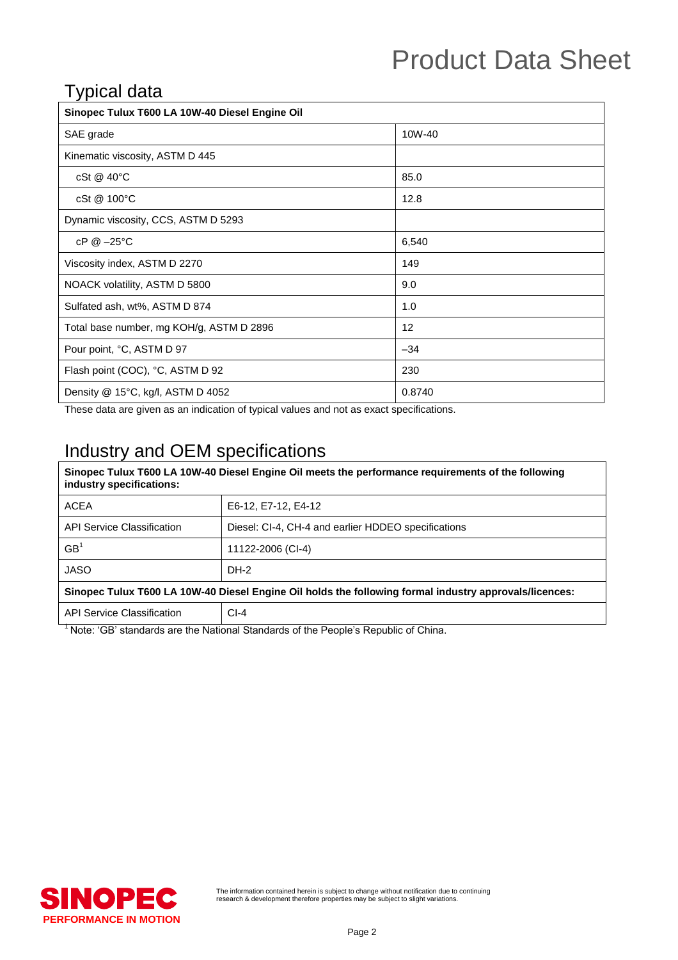# Product Data Sheet

#### Typical data

| Sinopec Tulux T600 LA 10W-40 Diesel Engine Oil |        |  |
|------------------------------------------------|--------|--|
| SAE grade                                      | 10W-40 |  |
| Kinematic viscosity, ASTM D 445                |        |  |
| cSt @ 40°C                                     | 85.0   |  |
| cSt @ 100°C                                    | 12.8   |  |
| Dynamic viscosity, CCS, ASTM D 5293            |        |  |
| $cP @ -25°C$                                   | 6,540  |  |
| Viscosity index, ASTM D 2270                   | 149    |  |
| NOACK volatility, ASTM D 5800                  | 9.0    |  |
| Sulfated ash, wt%, ASTM D 874                  | 1.0    |  |
| Total base number, mg KOH/g, ASTM D 2896       | 12     |  |
| Pour point, °C, ASTM D 97                      | $-34$  |  |
| Flash point (COC), °C, ASTM D 92               | 230    |  |
| Density $@$ 15°C, kg/l, ASTM D 4052            | 0.8740 |  |

These data are given as an indication of typical values and not as exact specifications.

### Industry and OEM specifications

#### **Sinopec Tulux T600 LA 10W-40 Diesel Engine Oil meets the performance requirements of the following industry specifications:** ACEA **E6-12, E7-12, E4-12** API Service Classification | Diesel: CI-4, CH-4 and earlier HDDEO specifications  $\overline{C}$ 11122-2006 (CI-4)

| 56                                                                                                     | 11122-2006 (CI-4) |  |  |
|--------------------------------------------------------------------------------------------------------|-------------------|--|--|
| JASO                                                                                                   | $DH-2$            |  |  |
| Sinopec Tulux T600 LA 10W-40 Diesel Engine Oil holds the following formal industry approvals/licences: |                   |  |  |
|                                                                                                        |                   |  |  |

 $1$  Note: 'GB' standards are the National Standards of the People's Republic of China.